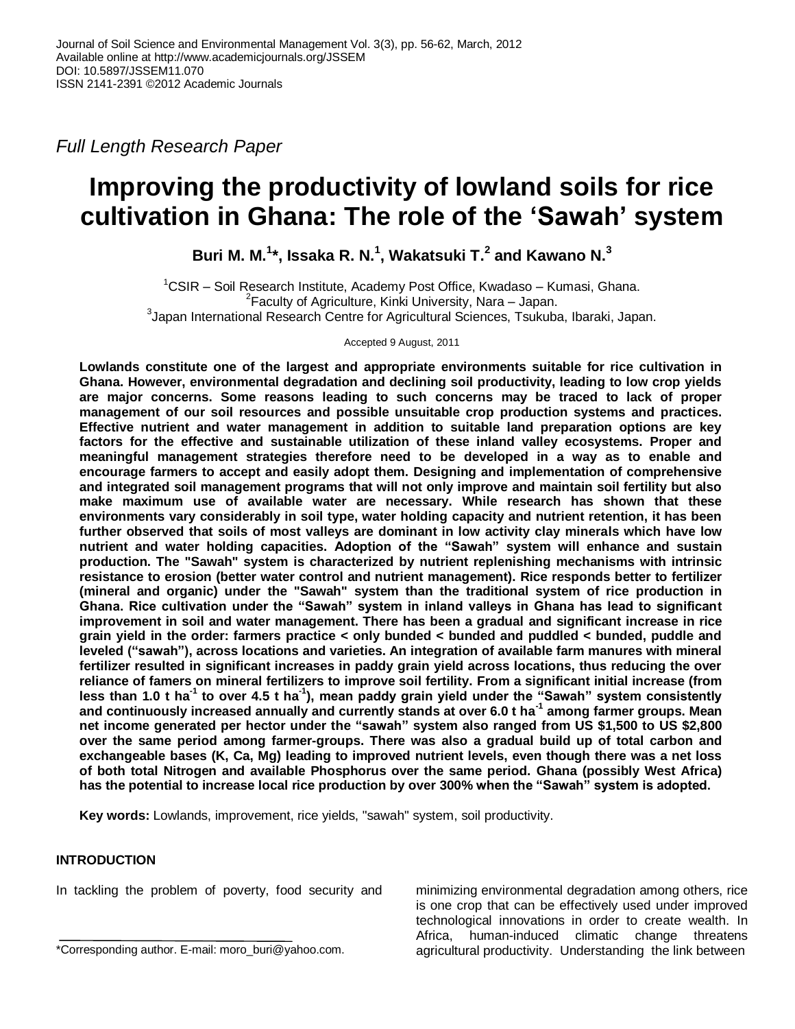*Full Length Research Paper*

# **Improving the productivity of lowland soils for rice cultivation in Ghana: The role of the 'Sawah' system**

**Buri M. M. 1 \*, Issaka R. N.<sup>1</sup> , Wakatsuki T.<sup>2</sup> and Kawano N.<sup>3</sup>**

 $1$ CSIR – Soil Research Institute, Academy Post Office, Kwadaso – Kumasi, Ghana. <sup>2</sup> Faculty of Agriculture, Kinki University, Nara – Japan. 3 Japan International Research Centre for Agricultural Sciences, Tsukuba, Ibaraki, Japan.

Accepted 9 August, 2011

**Lowlands constitute one of the largest and appropriate environments suitable for rice cultivation in Ghana. However, environmental degradation and declining soil productivity, leading to low crop yields are major concerns. Some reasons leading to such concerns may be traced to lack of proper management of our soil resources and possible unsuitable crop production systems and practices. Effective nutrient and water management in addition to suitable land preparation options are key factors for the effective and sustainable utilization of these inland valley ecosystems. Proper and meaningful management strategies therefore need to be developed in a way as to enable and encourage farmers to accept and easily adopt them. Designing and implementation of comprehensive and integrated soil management programs that will not only improve and maintain soil fertility but also make maximum use of available water are necessary. While research has shown that these environments vary considerably in soil type, water holding capacity and nutrient retention, it has been further observed that soils of most valleys are dominant in low activity clay minerals which have low nutrient and water holding capacities. Adoption of the "Sawah" system will enhance and sustain production. The "Sawah" system is characterized by nutrient replenishing mechanisms with intrinsic resistance to erosion (better water control and nutrient management). Rice responds better to fertilizer (mineral and organic) under the "Sawah" system than the traditional system of rice production in Ghana. Rice cultivation under the "Sawah" system in inland valleys in Ghana has lead to significant improvement in soil and water management. There has been a gradual and significant increase in rice grain yield in the order: farmers practice < only bunded < bunded and puddled < bunded, puddle and leveled ("sawah"), across locations and varieties. An integration of available farm manures with mineral fertilizer resulted in significant increases in paddy grain yield across locations, thus reducing the over reliance of famers on mineral fertilizers to improve soil fertility. From a significant initial increase (from less than 1.0 t ha-1 to over 4.5 t ha-1 ), mean paddy grain yield under the "Sawah" system consistently and continuously increased annually and currently stands at over 6.0 t ha-1 among farmer groups. Mean net income generated per hector under the "sawah" system also ranged from US \$1,500 to US \$2,800 over the same period among farmer-groups. There was also a gradual build up of total carbon and exchangeable bases (K, Ca, Mg) leading to improved nutrient levels, even though there was a net loss of both total Nitrogen and available Phosphorus over the same period. Ghana (possibly West Africa) has the potential to increase local rice production by over 300% when the "Sawah" system is adopted.**

**Key words:** Lowlands, improvement, rice yields, "sawah" system, soil productivity.

# **INTRODUCTION**

In tackling the problem of poverty, food security and

minimizing environmental degradation among others, rice is one crop that can be effectively used under improved technological innovations in order to create wealth. In Africa, human-induced climatic change threatens agricultural productivity. Understanding the link between

<sup>\*</sup>Corresponding author. E-mail: moro\_buri@yahoo.com.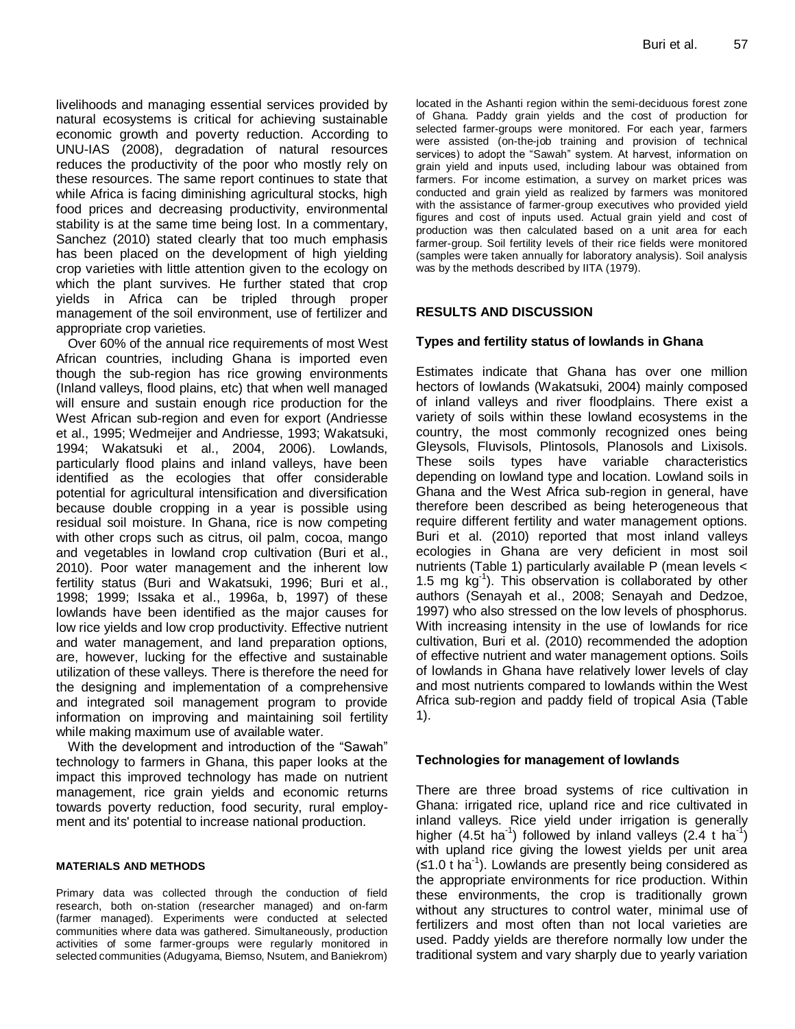livelihoods and managing essential services provided by natural ecosystems is critical for achieving sustainable economic growth and poverty reduction. According to UNU-IAS (2008), degradation of natural resources reduces the productivity of the poor who mostly rely on these resources. The same report continues to state that while Africa is facing diminishing agricultural stocks, high food prices and decreasing productivity, environmental stability is at the same time being lost. In a commentary, Sanchez (2010) stated clearly that too much emphasis has been placed on the development of high yielding crop varieties with little attention given to the ecology on which the plant survives. He further stated that crop yields in Africa can be tripled through proper management of the soil environment, use of fertilizer and appropriate crop varieties.

Over 60% of the annual rice requirements of most West African countries, including Ghana is imported even though the sub-region has rice growing environments (Inland valleys, flood plains, etc) that when well managed will ensure and sustain enough rice production for the West African sub-region and even for export (Andriesse et al., 1995; Wedmeijer and Andriesse, 1993; Wakatsuki, 1994; Wakatsuki et al., 2004, 2006). Lowlands, particularly flood plains and inland valleys, have been identified as the ecologies that offer considerable potential for agricultural intensification and diversification because double cropping in a year is possible using residual soil moisture. In Ghana, rice is now competing with other crops such as citrus, oil palm, cocoa, mango and vegetables in lowland crop cultivation (Buri et al., 2010). Poor water management and the inherent low fertility status (Buri and Wakatsuki, 1996; Buri et al., 1998; 1999; Issaka et al., 1996a, b, 1997) of these lowlands have been identified as the major causes for low rice yields and low crop productivity. Effective nutrient and water management, and land preparation options, are, however, lucking for the effective and sustainable utilization of these valleys. There is therefore the need for the designing and implementation of a comprehensive and integrated soil management program to provide information on improving and maintaining soil fertility while making maximum use of available water.

With the development and introduction of the "Sawah" technology to farmers in Ghana, this paper looks at the impact this improved technology has made on nutrient management, rice grain yields and economic returns towards poverty reduction, food security, rural employment and its' potential to increase national production.

#### **MATERIALS AND METHODS**

Primary data was collected through the conduction of field research, both on-station (researcher managed) and on-farm (farmer managed). Experiments were conducted at selected communities where data was gathered. Simultaneously, production activities of some farmer-groups were regularly monitored in selected communities (Adugyama, Biemso, Nsutem, and Baniekrom) located in the Ashanti region within the semi-deciduous forest zone of Ghana. Paddy grain yields and the cost of production for selected farmer-groups were monitored. For each year, farmers were assisted (on-the-job training and provision of technical services) to adopt the "Sawah" system. At harvest, information on grain yield and inputs used, including labour was obtained from farmers. For income estimation, a survey on market prices was conducted and grain yield as realized by farmers was monitored with the assistance of farmer-group executives who provided yield figures and cost of inputs used. Actual grain yield and cost of production was then calculated based on a unit area for each farmer-group. Soil fertility levels of their rice fields were monitored (samples were taken annually for laboratory analysis). Soil analysis was by the methods described by IITA (1979).

#### **RESULTS AND DISCUSSION**

#### **Types and fertility status of lowlands in Ghana**

Estimates indicate that Ghana has over one million hectors of lowlands (Wakatsuki, 2004) mainly composed of inland valleys and river floodplains. There exist a variety of soils within these lowland ecosystems in the country, the most commonly recognized ones being Gleysols, Fluvisols, Plintosols, Planosols and Lixisols. These soils types have variable characteristics depending on lowland type and location. Lowland soils in Ghana and the West Africa sub-region in general, have therefore been described as being heterogeneous that require different fertility and water management options. Buri et al. (2010) reported that most inland valleys ecologies in Ghana are very deficient in most soil nutrients (Table 1) particularly available P (mean levels < 1.5 mg kg-1 ). This observation is collaborated by other authors (Senayah et al., 2008; Senayah and Dedzoe, 1997) who also stressed on the low levels of phosphorus. With increasing intensity in the use of lowlands for rice cultivation, Buri et al. (2010) recommended the adoption of effective nutrient and water management options. Soils of lowlands in Ghana have relatively lower levels of clay and most nutrients compared to lowlands within the West Africa sub-region and paddy field of tropical Asia (Table 1).

#### **Technologies for management of lowlands**

There are three broad systems of rice cultivation in Ghana: irrigated rice, upland rice and rice cultivated in inland valleys. Rice yield under irrigation is generally higher  $(4.5t \text{ ha}^{-1})$  followed by inland valleys  $(2.4 \text{ t} \text{ ha}^{-1})$ with upland rice giving the lowest yields per unit area  $($ ≤1.0 t ha<sup>-1</sup>). Lowlands are presently being considered as the appropriate environments for rice production. Within these environments, the crop is traditionally grown without any structures to control water, minimal use of fertilizers and most often than not local varieties are used. Paddy yields are therefore normally low under the traditional system and vary sharply due to yearly variation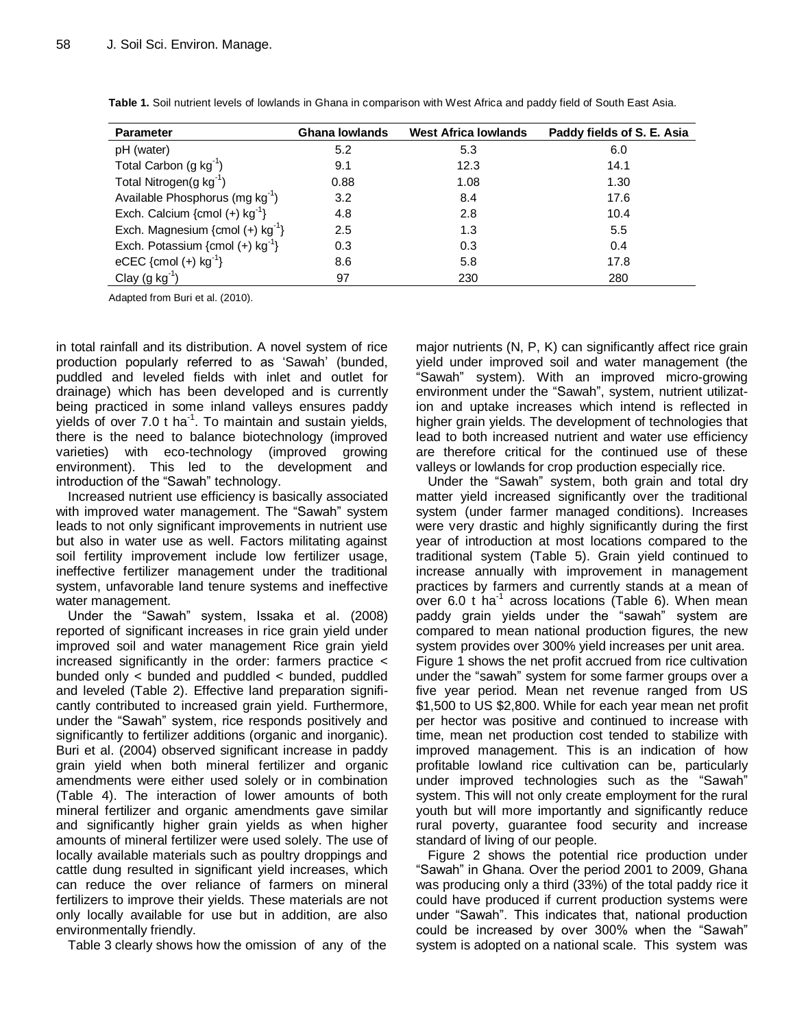| <b>Parameter</b>                               | Ghana lowlands | <b>West Africa lowlands</b> | Paddy fields of S. E. Asia |
|------------------------------------------------|----------------|-----------------------------|----------------------------|
| pH (water)                                     | 5.2            | 5.3                         | 6.0                        |
| Total Carbon (g $kg^{-1}$ )                    | 9.1            | 12.3                        | 14.1                       |
| Total Nitrogen(g $kg^{-1}$ )                   | 0.88           | 1.08                        | 1.30                       |
| Available Phosphorus (mg $kg^{-1}$ )           | 3.2            | 8.4                         | 17.6                       |
| Exch. Calcium {cmol (+) $kg^{-1}$ }            | 4.8            | 2.8                         | 10.4                       |
| Exch. Magnesium {cmol $(+)$ kg <sup>-1</sup> } | 2.5            | 1.3                         | 5.5                        |
| Exch. Potassium {cmol $(+)$ kg <sup>-1</sup> } | 0.3            | 0.3                         | 0.4                        |
| eCEC {cmol (+) $kg^{-1}$ }                     | 8.6            | 5.8                         | 17.8                       |
| Clay $(g kg^{-1})$                             | 97             | 230                         | 280                        |

**Table 1.** Soil nutrient levels of lowlands in Ghana in comparison with West Africa and paddy field of South East Asia.

Adapted from Buri et al. (2010).

in total rainfall and its distribution. A novel system of rice production popularly referred to as 'Sawah' (bunded, puddled and leveled fields with inlet and outlet for drainage) which has been developed and is currently being practiced in some inland valleys ensures paddy yields of over 7.0 t ha<sup>-1</sup>. To maintain and sustain yields, there is the need to balance biotechnology (improved varieties) with eco-technology (improved growing environment). This led to the development and introduction of the "Sawah" technology.

Increased nutrient use efficiency is basically associated with improved water management. The "Sawah" system leads to not only significant improvements in nutrient use but also in water use as well. Factors militating against soil fertility improvement include low fertilizer usage, ineffective fertilizer management under the traditional system, unfavorable land tenure systems and ineffective water management.

Under the "Sawah" system, Issaka et al. (2008) reported of significant increases in rice grain yield under improved soil and water management Rice grain yield increased significantly in the order: farmers practice < bunded only < bunded and puddled < bunded, puddled and leveled (Table 2). Effective land preparation significantly contributed to increased grain yield. Furthermore, under the "Sawah" system, rice responds positively and significantly to fertilizer additions (organic and inorganic). Buri et al. (2004) observed significant increase in paddy grain yield when both mineral fertilizer and organic amendments were either used solely or in combination (Table 4). The interaction of lower amounts of both mineral fertilizer and organic amendments gave similar and significantly higher grain yields as when higher amounts of mineral fertilizer were used solely. The use of locally available materials such as poultry droppings and cattle dung resulted in significant yield increases, which can reduce the over reliance of farmers on mineral fertilizers to improve their yields. These materials are not only locally available for use but in addition, are also environmentally friendly.

Table 3 clearly shows how the omission of any of the

major nutrients (N, P, K) can significantly affect rice grain yield under improved soil and water management (the "Sawah" system). With an improved micro-growing environment under the "Sawah", system, nutrient utilization and uptake increases which intend is reflected in higher grain yields. The development of technologies that lead to both increased nutrient and water use efficiency are therefore critical for the continued use of these valleys or lowlands for crop production especially rice.

Under the "Sawah" system, both grain and total dry matter yield increased significantly over the traditional system (under farmer managed conditions). Increases were very drastic and highly significantly during the first year of introduction at most locations compared to the traditional system (Table 5). Grain yield continued to increase annually with improvement in management practices by farmers and currently stands at a mean of over 6.0  $t$  ha<sup>-1</sup> across locations (Table 6). When mean paddy grain yields under the "sawah" system are compared to mean national production figures, the new system provides over 300% yield increases per unit area. Figure 1 shows the net profit accrued from rice cultivation under the "sawah" system for some farmer groups over a five year period. Mean net revenue ranged from US \$1,500 to US \$2,800. While for each year mean net profit per hector was positive and continued to increase with time, mean net production cost tended to stabilize with improved management. This is an indication of how profitable lowland rice cultivation can be, particularly under improved technologies such as the "Sawah" system. This will not only create employment for the rural youth but will more importantly and significantly reduce rural poverty, guarantee food security and increase standard of living of our people.

Figure 2 shows the potential rice production under "Sawah" in Ghana. Over the period 2001 to 2009, Ghana was producing only a third (33%) of the total paddy rice it could have produced if current production systems were under "Sawah". This indicates that, national production could be increased by over 300% when the "Sawah" system is adopted on a national scale. This system was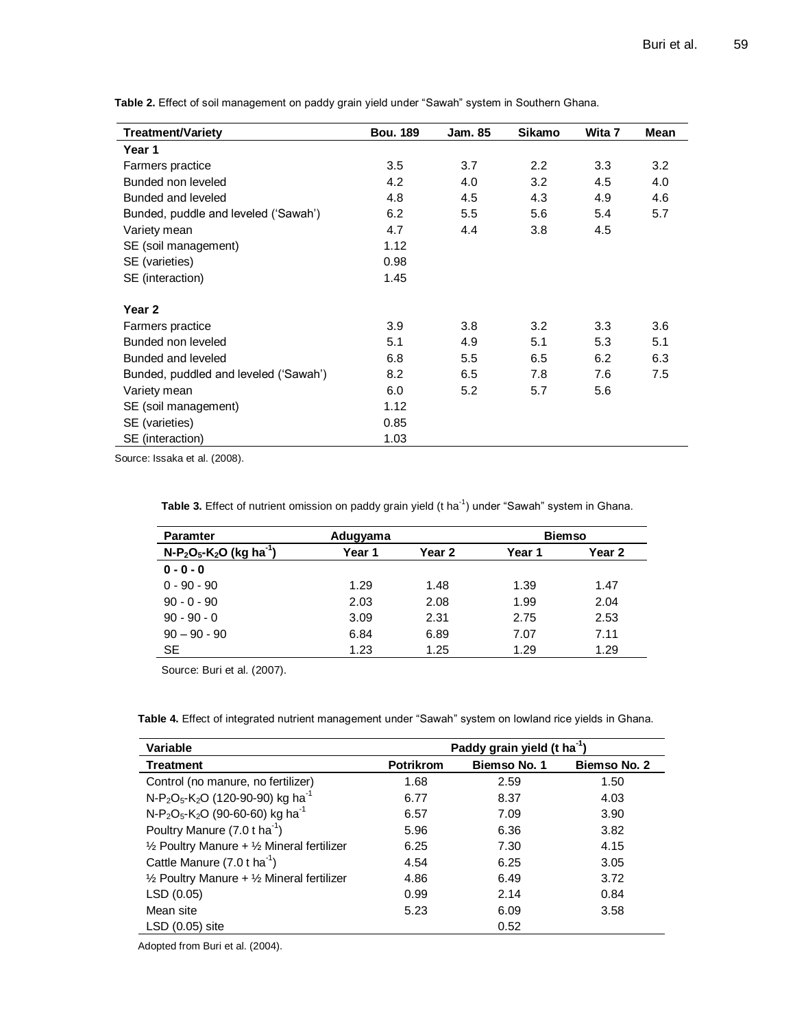| <b>Treatment/Variety</b>              | <b>Bou. 189</b> | Jam. 85 | <b>Sikamo</b> | Wita 7 | Mean |
|---------------------------------------|-----------------|---------|---------------|--------|------|
| Year 1                                |                 |         |               |        |      |
| Farmers practice                      | 3.5             | 3.7     | 2.2           | 3.3    | 3.2  |
| Bunded non leveled                    | 4.2             | 4.0     | 3.2           | 4.5    | 4.0  |
| Bunded and leveled                    | 4.8             | 4.5     | 4.3           | 4.9    | 4.6  |
| Bunded, puddle and leveled ('Sawah')  | 6.2             | 5.5     | 5.6           | 5.4    | 5.7  |
| Variety mean                          | 4.7             | 4.4     | 3.8           | 4.5    |      |
| SE (soil management)                  | 1.12            |         |               |        |      |
| SE (varieties)                        | 0.98            |         |               |        |      |
| SE (interaction)                      | 1.45            |         |               |        |      |
| Year <sub>2</sub>                     |                 |         |               |        |      |
| Farmers practice                      | 3.9             | 3.8     | 3.2           | 3.3    | 3.6  |
| Bunded non leveled                    | 5.1             | 4.9     | 5.1           | 5.3    | 5.1  |
| Bunded and leveled                    | 6.8             | 5.5     | 6.5           | 6.2    | 6.3  |
| Bunded, puddled and leveled ('Sawah') | 8.2             | 6.5     | 7.8           | 7.6    | 7.5  |
| Variety mean                          | 6.0             | 5.2     | 5.7           | 5.6    |      |
| SE (soil management)                  | 1.12            |         |               |        |      |
| SE (varieties)                        | 0.85            |         |               |        |      |
| SE (interaction)                      | 1.03            |         |               |        |      |

**Table 2.** Effect of soil management on paddy grain yield under "Sawah" system in Southern Ghana.

Source: Issaka et al. (2008).

Table 3. Effect of nutrient omission on paddy grain yield (t ha<sup>-1</sup>) under "Sawah" system in Ghana.

| <b>Paramter</b>                        | Adugyama | <b>Biemso</b>     |        |        |
|----------------------------------------|----------|-------------------|--------|--------|
| $N-P_2O_5-K_2O$ (kg ha <sup>-1</sup> ) | Year 1   | Year <sub>2</sub> | Year 1 | Year 2 |
| $0 - 0 - 0$                            |          |                   |        |        |
| $0 - 90 - 90$                          | 1.29     | 1.48              | 1.39   | 1.47   |
| $90 - 0 - 90$                          | 2.03     | 2.08              | 1.99   | 2.04   |
| $90 - 90 - 0$                          | 3.09     | 2.31              | 2.75   | 2.53   |
| $90 - 90 - 90$                         | 6.84     | 6.89              | 7.07   | 7.11   |
| <b>SE</b>                              | 1.23     | 1.25              | 1.29   | 1.29   |

Source: Buri et al. (2007).

**Table 4.** Effect of integrated nutrient management under "Sawah" system on lowland rice yields in Ghana.

| Variable                                                                          | Paddy grain yield (t ha <sup>-1</sup> ) |              |              |  |  |  |
|-----------------------------------------------------------------------------------|-----------------------------------------|--------------|--------------|--|--|--|
| <b>Treatment</b>                                                                  | <b>Potrikrom</b>                        | Biemso No. 1 | Biemso No. 2 |  |  |  |
| Control (no manure, no fertilizer)                                                | 1.68                                    | 2.59         | 1.50         |  |  |  |
| N-P <sub>2</sub> O <sub>5</sub> -K <sub>2</sub> O (120-90-90) kg ha <sup>-1</sup> | 6.77                                    | 8.37         | 4.03         |  |  |  |
| N-P <sub>2</sub> O <sub>5</sub> -K <sub>2</sub> O (90-60-60) kg ha <sup>-1</sup>  | 6.57                                    | 7.09         | 3.90         |  |  |  |
| Poultry Manure (7.0 t ha <sup>-1</sup> )                                          | 5.96                                    | 6.36         | 3.82         |  |  |  |
| $\frac{1}{2}$ Poultry Manure + $\frac{1}{2}$ Mineral fertilizer                   | 6.25                                    | 7.30         | 4.15         |  |  |  |
| Cattle Manure (7.0 t ha <sup>-1</sup> )                                           | 4.54                                    | 6.25         | 3.05         |  |  |  |
| $\frac{1}{2}$ Poultry Manure + $\frac{1}{2}$ Mineral fertilizer                   | 4.86                                    | 6.49         | 3.72         |  |  |  |
| LSD (0.05)                                                                        | 0.99                                    | 2.14         | 0.84         |  |  |  |
| Mean site                                                                         | 5.23                                    | 6.09         | 3.58         |  |  |  |
| $LSD(0.05)$ site                                                                  |                                         | 0.52         |              |  |  |  |

Adopted from Buri et al. (2004).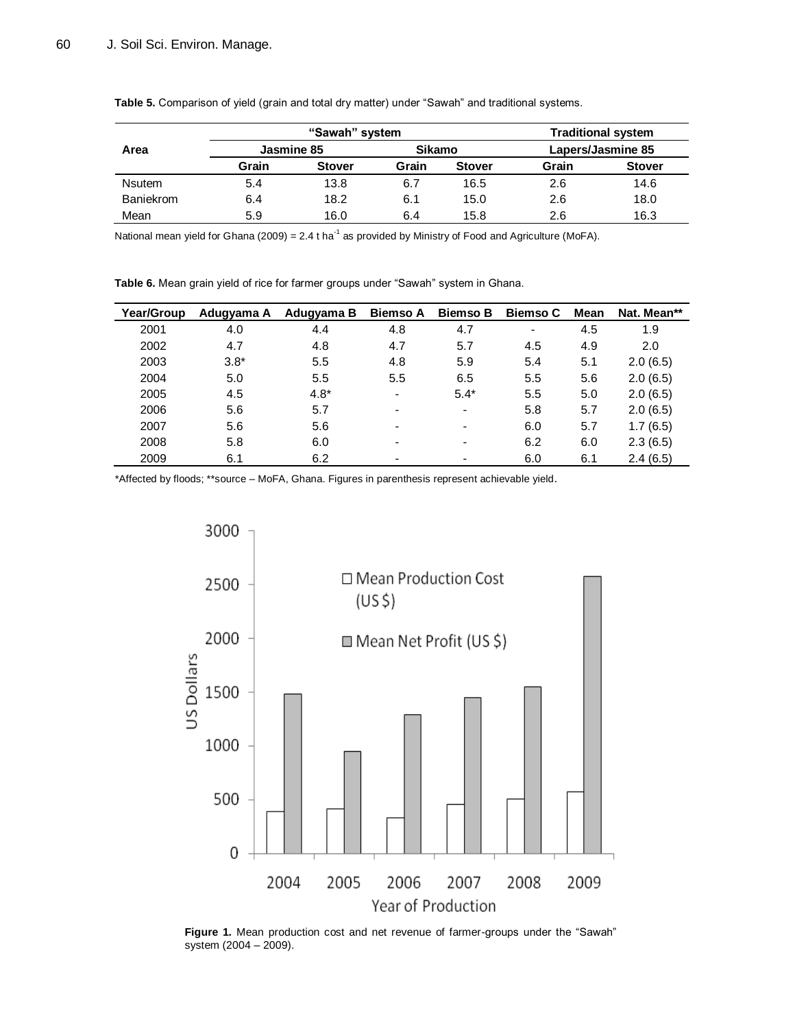|                  | "Sawah" system |               |               |               | <b>Traditional system</b> |               |  |
|------------------|----------------|---------------|---------------|---------------|---------------------------|---------------|--|
| Area             | Jasmine 85     |               | <b>Sikamo</b> |               | Lapers/Jasmine 85         |               |  |
|                  | Grain          | <b>Stover</b> | Grain         | <b>Stover</b> | Grain                     | <b>Stover</b> |  |
| <b>Nsutem</b>    | 5.4            | 13.8          | 6.7           | 16.5          | 2.6                       | 14.6          |  |
| <b>Baniekrom</b> | 6.4            | 18.2          | 6.1           | 15.0          | 2.6                       | 18.0          |  |
| Mean             | 5.9            | 16.0          | 6.4           | 15.8          | 2.6                       | 16.3          |  |

**Table 5.** Comparison of yield (grain and total dry matter) under "Sawah" and traditional systems.

National mean yield for Ghana (2009) = 2.4 t ha<sup>-1</sup> as provided by Ministry of Food and Agriculture (MoFA).

**Table 6.** Mean grain yield of rice for farmer groups under "Sawah" system in Ghana.

| Year/Group | Adugyama A | Adugyama B | <b>Biemso A</b>          | <b>Biemso B</b>          | <b>Biemso C</b> | Mean | Nat. Mean** |
|------------|------------|------------|--------------------------|--------------------------|-----------------|------|-------------|
| 2001       | 4.0        | 4.4        | 4.8                      | 4.7                      | ٠               | 4.5  | 1.9         |
| 2002       | 4.7        | 4.8        | 4.7                      | 5.7                      | 4.5             | 4.9  | 2.0         |
| 2003       | $3.8*$     | 5.5        | 4.8                      | 5.9                      | 5.4             | 5.1  | 2.0(6.5)    |
| 2004       | 5.0        | 5.5        | 5.5                      | 6.5                      | 5.5             | 5.6  | 2.0(6.5)    |
| 2005       | 4.5        | $4.8*$     | $\blacksquare$           | $5.4*$                   | 5.5             | 5.0  | 2.0(6.5)    |
| 2006       | 5.6        | 5.7        | $\overline{\phantom{0}}$ | $\overline{\phantom{a}}$ | 5.8             | 5.7  | 2.0(6.5)    |
| 2007       | 5.6        | 5.6        | $\overline{\phantom{a}}$ | $\overline{\phantom{a}}$ | 6.0             | 5.7  | 1.7(6.5)    |
| 2008       | 5.8        | 6.0        | $\overline{\phantom{a}}$ | $\overline{\phantom{0}}$ | 6.2             | 6.0  | 2.3(6.5)    |
| 2009       | 6.1        | 6.2        | $\overline{\phantom{0}}$ | $\overline{\phantom{0}}$ | 6.0             | 6.1  | 2.4(6.5)    |

\*Affected by floods; \*\*source – MoFA, Ghana. Figures in parenthesis represent achievable yield.



**Figure 1.** Mean production cost and net revenue of farmer-groups under the "Sawah" system (2004 – 2009).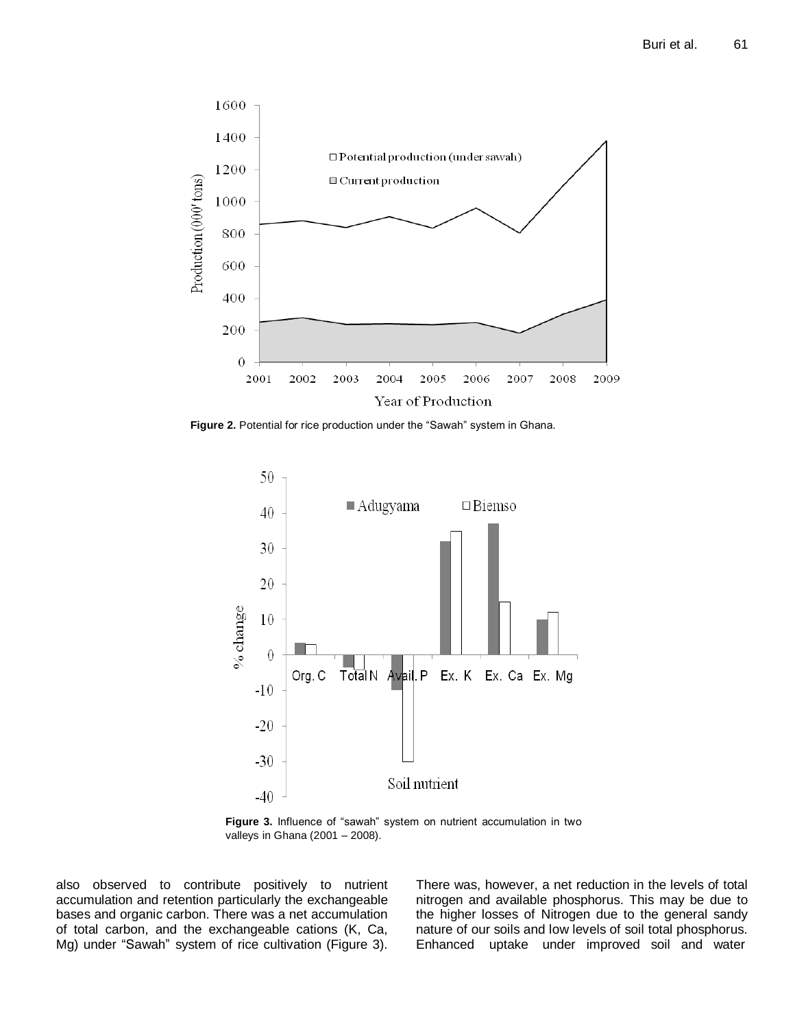

**Figure 2.** Potential for rice production under the "Sawah" system in Ghana.



**Figure 3.** Influence of "sawah" system on nutrient accumulation in two valleys in Ghana (2001 – 2008).

also observed to contribute positively to nutrient accumulation and retention particularly the exchangeable bases and organic carbon. There was a net accumulation of total carbon, and the exchangeable cations (K, Ca, Mg) under "Sawah" system of rice cultivation (Figure 3).

There was, however, a net reduction in the levels of total nitrogen and available phosphorus. This may be due to the higher losses of Nitrogen due to the general sandy nature of our soils and low levels of soil total phosphorus. Enhanced uptake under improved soil and water